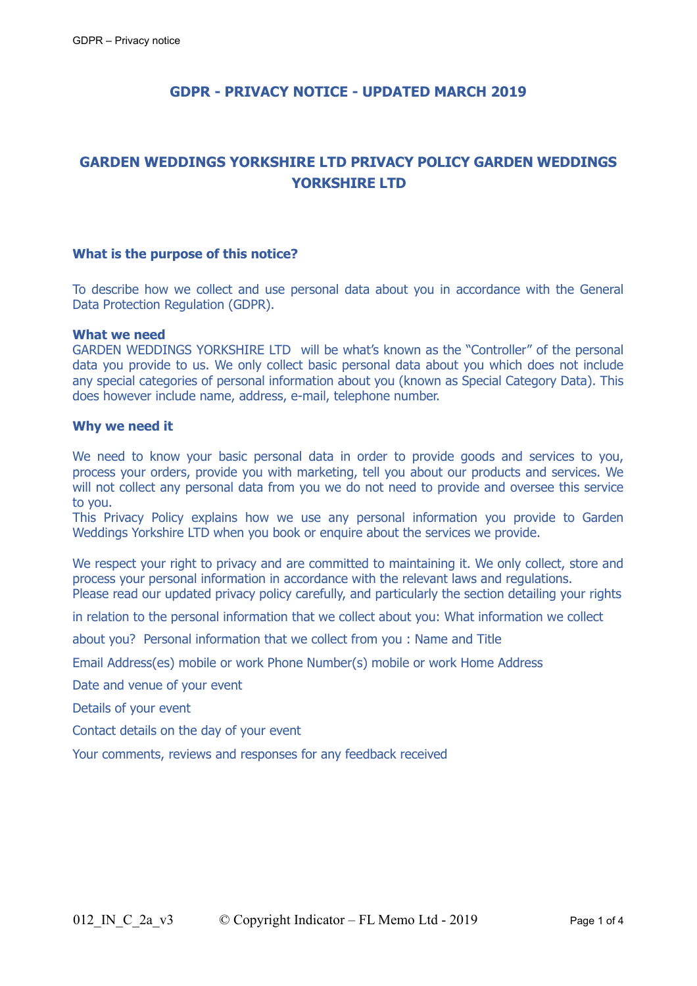# **GDPR - PRIVACY NOTICE - UPDATED MARCH 2019**

# **GARDEN WEDDINGS YORKSHIRE LTD PRIVACY POLICY GARDEN WEDDINGS YORKSHIRE LTD**

#### **What is the purpose of this notice?**

To describe how we collect and use personal data about you in accordance with the General Data Protection Regulation (GDPR).

#### **What we need**

GARDEN WEDDINGS YORKSHIRE LTD will be what's known as the "Controller" of the personal data you provide to us. We only collect basic personal data about you which does not include any special categories of personal information about you (known as Special Category Data). This does however include name, address, e-mail, telephone number.

#### **Why we need it**

We need to know your basic personal data in order to provide goods and services to you, process your orders, provide you with marketing, tell you about our products and services. We will not collect any personal data from you we do not need to provide and oversee this service to you.

This Privacy Policy explains how we use any personal information you provide to Garden Weddings Yorkshire LTD when you book or enquire about the services we provide.

We respect your right to privacy and are committed to maintaining it. We only collect, store and process your personal information in accordance with the relevant laws and regulations. Please read our updated privacy policy carefully, and particularly the section detailing your rights

in relation to the personal information that we collect about you: What information we collect

about you? Personal information that we collect from you : Name and Title

Email Address(es) mobile or work Phone Number(s) mobile or work Home Address

Date and venue of your event

Details of your event

Contact details on the day of your event

Your comments, reviews and responses for any feedback received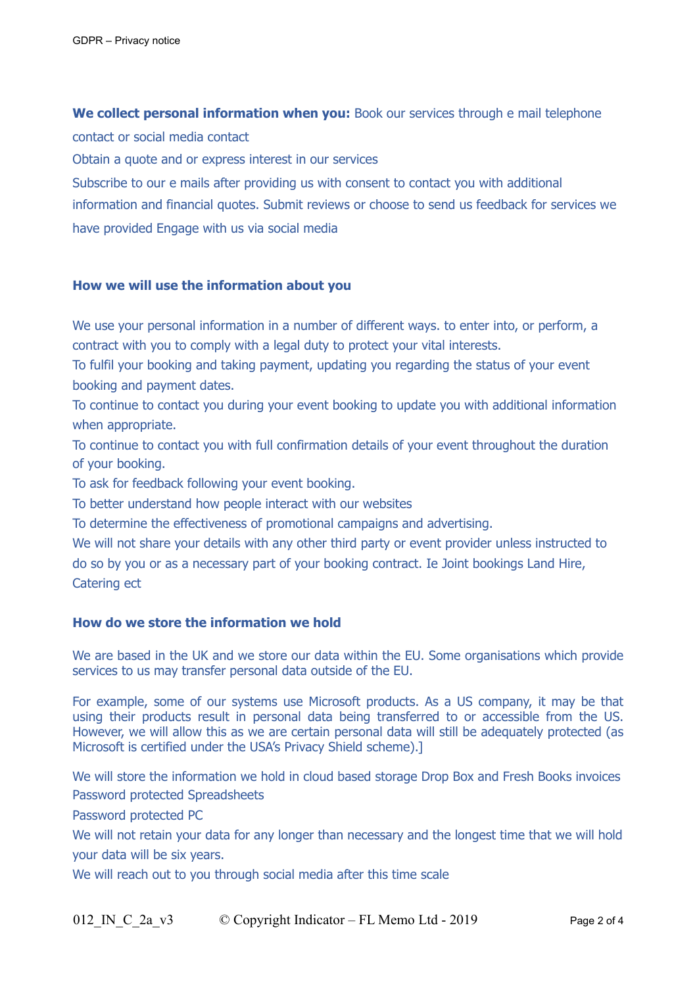**We collect personal information when you:** Book our services through e mail telephone contact or social media contact

Obtain a quote and or express interest in our services

Subscribe to our e mails after providing us with consent to contact you with additional information and financial quotes. Submit reviews or choose to send us feedback for services we have provided Engage with us via social media

# **How we will use the information about you**

We use your personal information in a number of different ways. to enter into, or perform, a contract with you to comply with a legal duty to protect your vital interests.

To fulfil your booking and taking payment, updating you regarding the status of your event booking and payment dates.

To continue to contact you during your event booking to update you with additional information when appropriate.

To continue to contact you with full confirmation details of your event throughout the duration of your booking.

To ask for feedback following your event booking.

To better understand how people interact with our websites

To determine the effectiveness of promotional campaigns and advertising.

We will not share your details with any other third party or event provider unless instructed to do so by you or as a necessary part of your booking contract. Ie Joint bookings Land Hire, Catering ect

# **How do we store the information we hold**

We are based in the UK and we store our data within the EU. Some organisations which provide services to us may transfer personal data outside of the EU.

For example, some of our systems use Microsoft products. As a US company, it may be that using their products result in personal data being transferred to or accessible from the US. However, we will allow this as we are certain personal data will still be adequately protected (as Microsoft is certified under the USA's Privacy Shield scheme).]

We will store the information we hold in cloud based storage Drop Box and Fresh Books invoices Password protected Spreadsheets

Password protected PC

We will not retain your data for any longer than necessary and the longest time that we will hold your data will be six years.

We will reach out to you through social media after this time scale

012 IN C 2a v3  $\circ$  Copyright Indicator – FL Memo Ltd - 2019 Page 2 of 4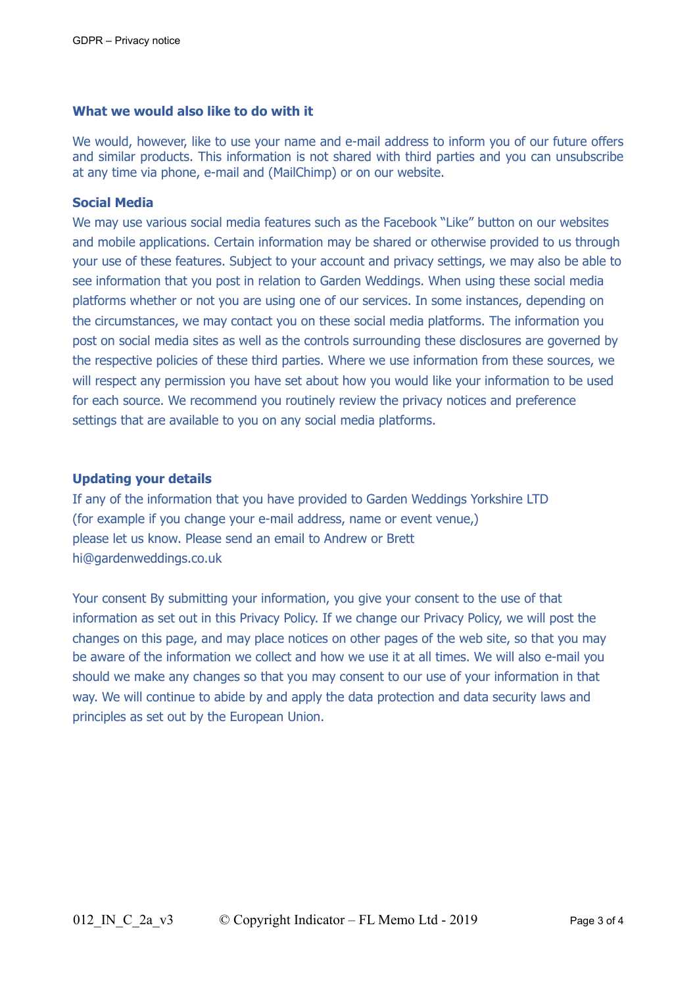### **What we would also like to do with it**

We would, however, like to use your name and e-mail address to inform you of our future offers and similar products. This information is not shared with third parties and you can unsubscribe at any time via phone, e-mail and (MailChimp) or on our website.

### **Social Media**

We may use various social media features such as the Facebook "Like" button on our websites and mobile applications. Certain information may be shared or otherwise provided to us through your use of these features. Subject to your account and privacy settings, we may also be able to see information that you post in relation to Garden Weddings. When using these social media platforms whether or not you are using one of our services. In some instances, depending on the circumstances, we may contact you on these social media platforms. The information you post on social media sites as well as the controls surrounding these disclosures are governed by the respective policies of these third parties. Where we use information from these sources, we will respect any permission you have set about how you would like your information to be used for each source. We recommend you routinely review the privacy notices and preference settings that are available to you on any social media platforms.

### **Updating your details**

If any of the information that you have provided to Garden Weddings Yorkshire LTD (for example if you change your e-mail address, name or event venue,) please let us know. Please send an email to Andrew or Brett hi@gardenweddings.co.uk

Your consent By submitting your information, you give your consent to the use of that information as set out in this Privacy Policy. If we change our Privacy Policy, we will post the changes on this page, and may place notices on other pages of the web site, so that you may be aware of the information we collect and how we use it at all times. We will also e-mail you should we make any changes so that you may consent to our use of your information in that way. We will continue to abide by and apply the data protection and data security laws and principles as set out by the European Union.